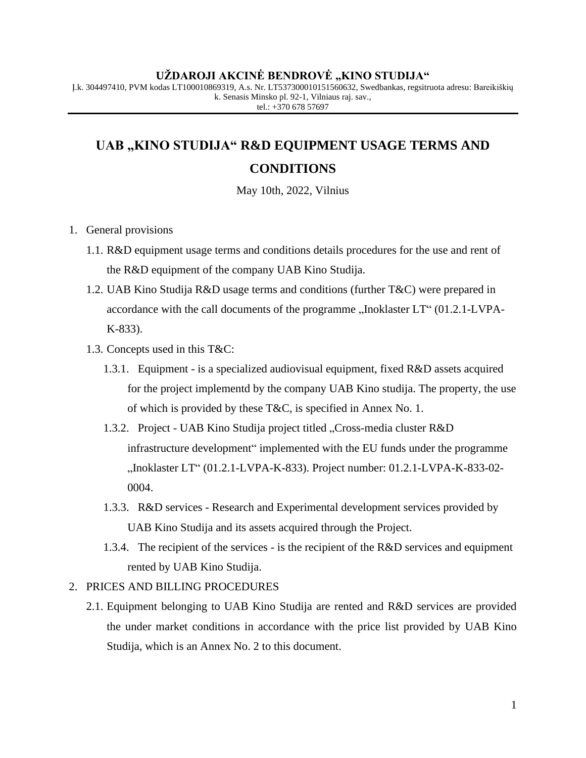#### **UŽDAROJI AKCINĖ BENDROVĖ "KINO STUDIJA"**

Į.k. 304497410, PVM kodas LT100010869319, A.s. Nr. LT537300010151560632, Swedbankas, regsitruota adresu: Bareikiškių k. Senasis Minsko pl. 92-1, Vilniaus raj. sav., tel.:  $+370$  678 57697

### UAB "KINO STUDIJA" R&D EQUIPMENT USAGE TERMS AND **CONDITIONS**

May 10th, 2022, Vilnius

- 1. General provisions
	- 1.1. R&D equipment usage terms and conditions details procedures for the use and rent of the R&D equipment of the company UAB Kino Studija.
	- 1.2. UAB Kino Studija R&D usage terms and conditions (further T&C) were prepared in accordance with the call documents of the programme "Inoklaster LT" (01.2.1-LVPA-K-833).
	- 1.3. Concepts used in this T&C:
		- 1.3.1. Equipment is a specialized audiovisual equipment, fixed R&D assets acquired for the project implementd by the company UAB Kino studija. The property, the use of which is provided by these T&C, is specified in Annex No. 1.
		- 1.3.2. Project UAB Kino Studija project titled "Cross-media cluster R&D infrastructure development" implemented with the EU funds under the programme "Inoklaster LT" (01.2.1-LVPA-K-833). Project number: 01.2.1-LVPA-K-833-02-0004.
		- 1.3.3. R&D services Research and Experimental development services provided by UAB Kino Studija and its assets acquired through the Project.
		- 1.3.4. The recipient of the services is the recipient of the R&D services and equipment rented by UAB Kino Studija.

#### 2. PRICES AND BILLING PROCEDURES

2.1. Equipment belonging to UAB Kino Studija are rented and R&D services are provided the under market conditions in accordance with the price list provided by UAB Kino Studija, which is an Annex No. 2 to this document.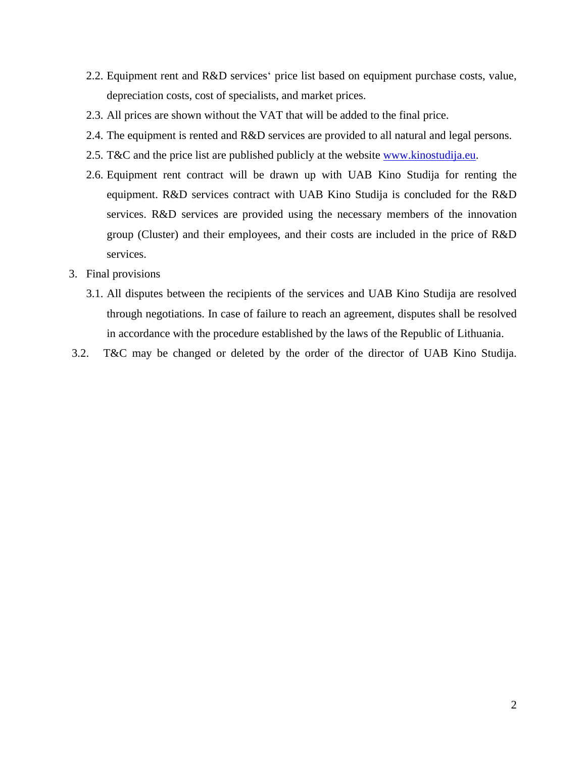- 2.2. Equipment rent and R&D services' price list based on equipment purchase costs, value, depreciation costs, cost of specialists, and market prices.
- 2.3. All prices are shown without the VAT that will be added to the final price.
- 2.4. The equipment is rented and R&D services are provided to all natural and legal persons.
- 2.5. T&C and the price list are published publicly at the website [www.kinostudija.eu.](http://www.kinostudija.eu/)
- 2.6. Equipment rent contract will be drawn up with UAB Kino Studija for renting the equipment. R&D services contract with UAB Kino Studija is concluded for the R&D services. R&D services are provided using the necessary members of the innovation group (Cluster) and their employees, and their costs are included in the price of R&D services.
- 3. Final provisions
	- 3.1. All disputes between the recipients of the services and UAB Kino Studija are resolved through negotiations. In case of failure to reach an agreement, disputes shall be resolved in accordance with the procedure established by the laws of the Republic of Lithuania.
- 3.2. T&C may be changed or deleted by the order of the director of UAB Kino Studija.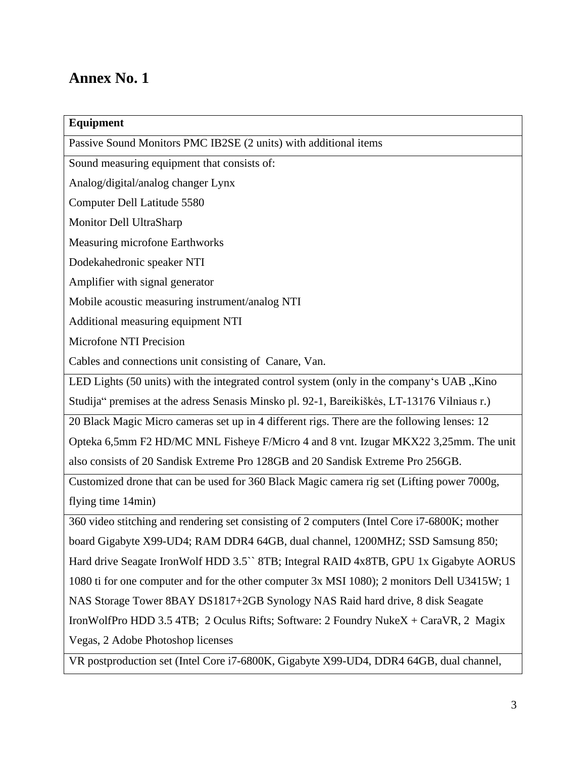### **Annex No. 1**

| Equipment                                                                                    |
|----------------------------------------------------------------------------------------------|
| Passive Sound Monitors PMC IB2SE (2 units) with additional items                             |
| Sound measuring equipment that consists of:                                                  |
| Analog/digital/analog changer Lynx                                                           |
| Computer Dell Latitude 5580                                                                  |
| Monitor Dell UltraSharp                                                                      |
| Measuring microfone Earthworks                                                               |
| Dodekahedronic speaker NTI                                                                   |
| Amplifier with signal generator                                                              |
| Mobile acoustic measuring instrument/analog NTI                                              |
| Additional measuring equipment NTI                                                           |
| Microfone NTI Precision                                                                      |
| Cables and connections unit consisting of Canare, Van.                                       |
| LED Lights (50 units) with the integrated control system (only in the company's UAB "Kino    |
| Studija" premises at the adress Senasis Minsko pl. 92-1, Bareikiškės, LT-13176 Vilniaus r.)  |
| 20 Black Magic Micro cameras set up in 4 different rigs. There are the following lenses: 12  |
| Opteka 6,5mm F2 HD/MC MNL Fisheye F/Micro 4 and 8 vnt. Izugar MKX22 3,25mm. The unit         |
| also consists of 20 Sandisk Extreme Pro 128GB and 20 Sandisk Extreme Pro 256GB.              |
| Customized drone that can be used for 360 Black Magic camera rig set (Lifting power 7000g,   |
| flying time 14min)                                                                           |
| 360 video stitching and rendering set consisting of 2 computers (Intel Core i7-6800K; mother |
| board Gigabyte X99-UD4; RAM DDR4 64GB, dual channel, 1200MHZ; SSD Samsung 850;               |
| Hard drive Seagate Iron Wolf HDD 3.5 YB; Integral RAID 4x8TB, GPU 1x Gigabyte AORUS          |
| 1080 ti for one computer and for the other computer 3x MSI 1080); 2 monitors Dell U3415W; 1  |
| NAS Storage Tower 8BAY DS1817+2GB Synology NAS Raid hard drive, 8 disk Seagate               |
| IronWolfPro HDD 3.5 4TB; 2 Oculus Rifts; Software: 2 Foundry NukeX + CaraVR, 2 Magix         |
| Vegas, 2 Adobe Photoshop licenses                                                            |
| VR postproduction set (Intel Core i7-6800K, Gigabyte X99-UD4, DDR4 64GB, dual channel,       |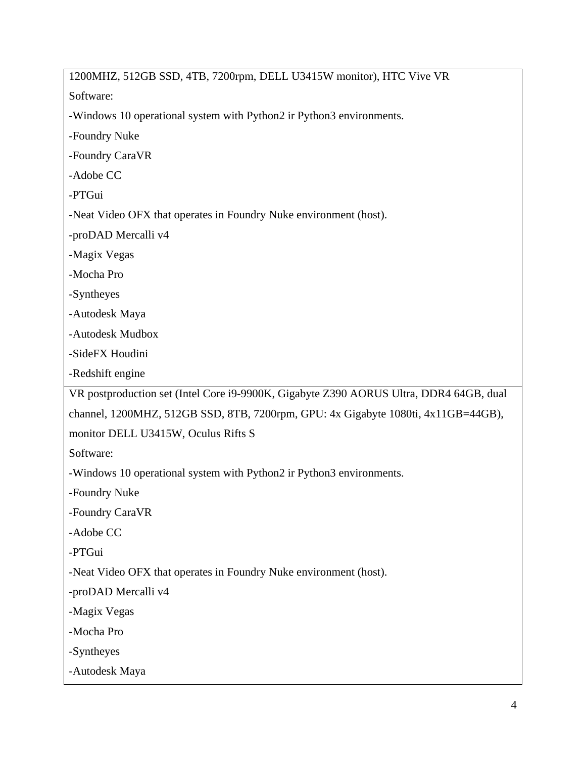1200MHZ, 512GB SSD, 4TB, 7200rpm, DELL U3415W monitor), HTC Vive VR Software: -Windows 10 operational system with Python2 ir Python3 environments. -Foundry Nuke -Foundry CaraVR -Adobe CC -PTGui -Neat Video OFX that operates in Foundry Nuke environment (host). -proDAD Mercalli v4 -Magix Vegas -Mocha Pro -Syntheyes -Autodesk Maya -Autodesk Mudbox -SideFX Houdini -Redshift engine VR postproduction set (Intel Core i9-9900K, Gigabyte Z390 AORUS Ultra, DDR4 64GB, dual channel, 1200MHZ, 512GB SSD, 8TB, 7200rpm, GPU: 4x Gigabyte 1080ti, 4x11GB=44GB), monitor DELL U3415W, Oculus Rifts S Software: -Windows 10 operational system with Python2 ir Python3 environments. -Foundry Nuke -Foundry CaraVR -Adobe CC -PTGui -Neat Video OFX that operates in Foundry Nuke environment (host). -proDAD Mercalli v4 -Magix Vegas -Mocha Pro -Syntheyes -Autodesk Maya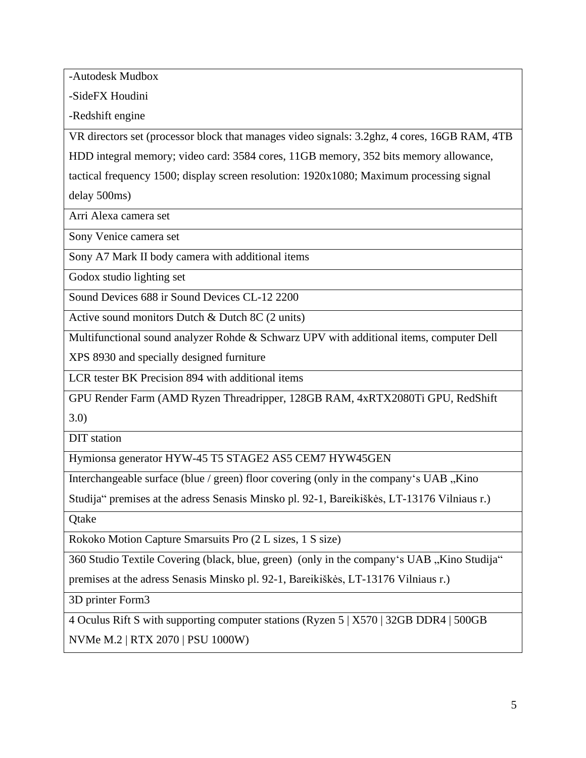-Autodesk Mudbox

-SideFX Houdini

-Redshift engine

VR directors set (processor block that manages video signals: 3.2ghz, 4 cores, 16GB RAM, 4TB

HDD integral memory; video card: 3584 cores, 11GB memory, 352 bits memory allowance,

tactical frequency 1500; display screen resolution: 1920x1080; Maximum processing signal

delay 500ms)

Arri Alexa camera set

Sony Venice camera set

Sony A7 Mark II body camera with additional items

Godox studio lighting set

Sound Devices 688 ir Sound Devices CL-12 2200

Active sound monitors Dutch & Dutch 8C (2 units)

Multifunctional sound analyzer Rohde & Schwarz UPV with additional items, computer Dell

XPS 8930 and specially designed furniture

LCR tester BK Precision 894 with additional items

GPU Render Farm (AMD Ryzen Threadripper, 128GB RAM, 4xRTX2080Ti GPU, RedShift

3.0)

DIT station

Hymionsa generator HYW-45 T5 STAGE2 AS5 CEM7 HYW45GEN

Interchangeable surface (blue / green) floor covering (only in the company's UAB  $\mu$ Kino

Studija" premises at the adress Senasis Minsko pl. 92-1, Bareikiškės, LT-13176 Vilniaus r.)

**Otake** 

Rokoko Motion Capture Smarsuits Pro (2 L sizes, 1 S size)

360 Studio Textile Covering (black, blue, green) (only in the company's UAB "Kino Studija"

premises at the adress Senasis Minsko pl. 92-1, Bareikiškės, LT-13176 Vilniaus r.)

3D printer Form3

4 Oculus Rift S with supporting computer stations (Ryzen 5 | X570 | 32GB DDR4 | 500GB NVMe M.2 | RTX 2070 | PSU 1000W)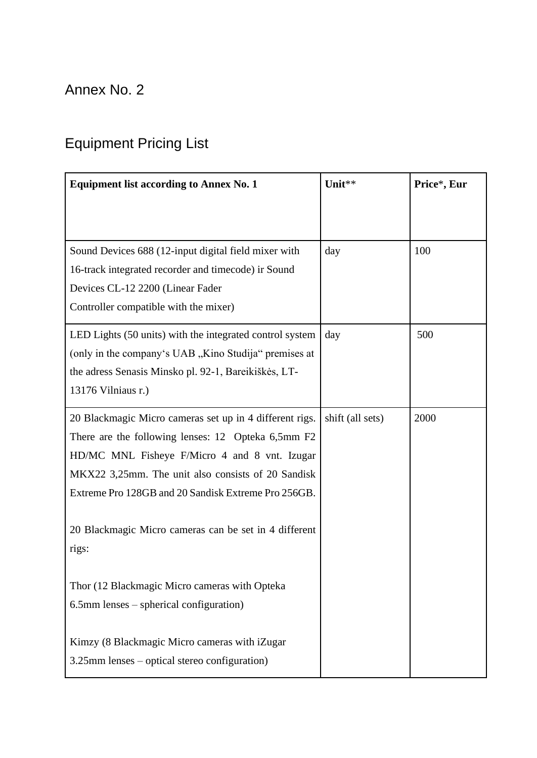## Annex No. 2

# Equipment Pricing List

| <b>Equipment list according to Annex No. 1</b>                                                                                                                                                                                                                              | Unit**           | Price*, Eur |
|-----------------------------------------------------------------------------------------------------------------------------------------------------------------------------------------------------------------------------------------------------------------------------|------------------|-------------|
|                                                                                                                                                                                                                                                                             |                  |             |
| Sound Devices 688 (12-input digital field mixer with<br>16-track integrated recorder and timecode) ir Sound<br>Devices CL-12 2200 (Linear Fader<br>Controller compatible with the mixer)                                                                                    | day              | 100         |
| LED Lights (50 units) with the integrated control system<br>(only in the company's UAB, Kino Studija" premises at<br>the adress Senasis Minsko pl. 92-1, Bareikiškės, LT-<br>13176 Vilniaus r.)                                                                             | day              | 500         |
| 20 Blackmagic Micro cameras set up in 4 different rigs.<br>There are the following lenses: 12 Opteka 6,5mm F2<br>HD/MC MNL Fisheye F/Micro 4 and 8 vnt. Izugar<br>MKX22 3,25mm. The unit also consists of 20 Sandisk<br>Extreme Pro 128GB and 20 Sandisk Extreme Pro 256GB. | shift (all sets) | 2000        |
| 20 Blackmagic Micro cameras can be set in 4 different<br>rigs:                                                                                                                                                                                                              |                  |             |
| Thor (12 Blackmagic Micro cameras with Opteka<br>$6.5$ mm lenses – spherical configuration)                                                                                                                                                                                 |                  |             |
| Kimzy (8 Blackmagic Micro cameras with iZugar<br>3.25mm lenses – optical stereo configuration)                                                                                                                                                                              |                  |             |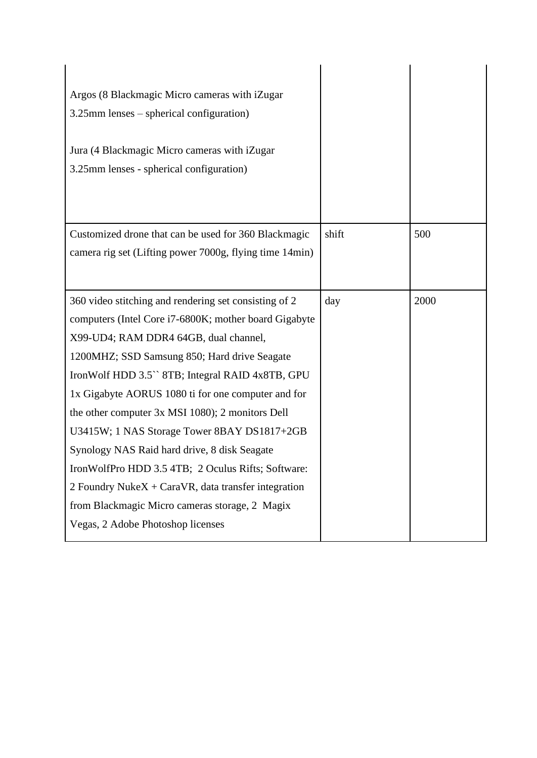| Argos (8 Blackmagic Micro cameras with iZugar           |       |      |
|---------------------------------------------------------|-------|------|
| $3.25$ mm lenses – spherical configuration)             |       |      |
| Jura (4 Blackmagic Micro cameras with iZugar            |       |      |
| 3.25mm lenses - spherical configuration)                |       |      |
|                                                         |       |      |
| Customized drone that can be used for 360 Blackmagic    | shift | 500  |
| camera rig set (Lifting power 7000g, flying time 14min) |       |      |
|                                                         |       |      |
| 360 video stitching and rendering set consisting of 2   | day   | 2000 |
| computers (Intel Core i7-6800K; mother board Gigabyte   |       |      |
| X99-UD4; RAM DDR4 64GB, dual channel,                   |       |      |
| 1200MHZ; SSD Samsung 850; Hard drive Seagate            |       |      |
| IronWolf HDD 3.5" 8TB; Integral RAID 4x8TB, GPU         |       |      |
| 1x Gigabyte AORUS 1080 ti for one computer and for      |       |      |
| the other computer 3x MSI 1080); 2 monitors Dell        |       |      |
| U3415W; 1 NAS Storage Tower 8BAY DS1817+2GB             |       |      |
| Synology NAS Raid hard drive, 8 disk Seagate            |       |      |
| IronWolfPro HDD 3.5 4TB; 2 Oculus Rifts; Software:      |       |      |
| 2 Foundry Nuke $X + CaraVR$ , data transfer integration |       |      |
| from Blackmagic Micro cameras storage, 2 Magix          |       |      |
|                                                         |       |      |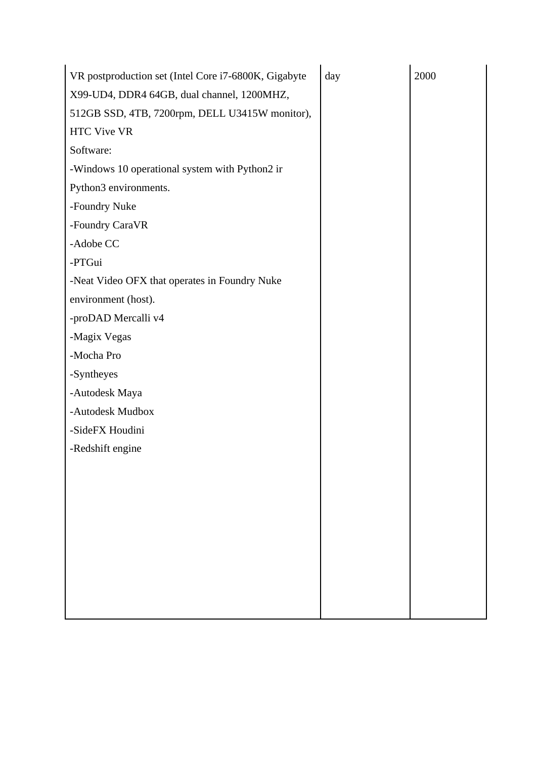| VR postproduction set (Intel Core i7-6800K, Gigabyte | day | 2000 |
|------------------------------------------------------|-----|------|
| X99-UD4, DDR4 64GB, dual channel, 1200MHZ,           |     |      |
| 512GB SSD, 4TB, 7200rpm, DELL U3415W monitor),       |     |      |
| <b>HTC Vive VR</b>                                   |     |      |
| Software:                                            |     |      |
| -Windows 10 operational system with Python2 ir       |     |      |
| Python3 environments.                                |     |      |
| -Foundry Nuke                                        |     |      |
| -Foundry CaraVR                                      |     |      |
| -Adobe CC                                            |     |      |
| -PTGui                                               |     |      |
| -Neat Video OFX that operates in Foundry Nuke        |     |      |
| environment (host).                                  |     |      |
| -proDAD Mercalli v4                                  |     |      |
| -Magix Vegas                                         |     |      |
| -Mocha Pro                                           |     |      |
| -Syntheyes                                           |     |      |
| -Autodesk Maya                                       |     |      |
| -Autodesk Mudbox                                     |     |      |
| -SideFX Houdini                                      |     |      |
| -Redshift engine                                     |     |      |
|                                                      |     |      |
|                                                      |     |      |
|                                                      |     |      |
|                                                      |     |      |
|                                                      |     |      |
|                                                      |     |      |
|                                                      |     |      |
|                                                      |     |      |
|                                                      |     |      |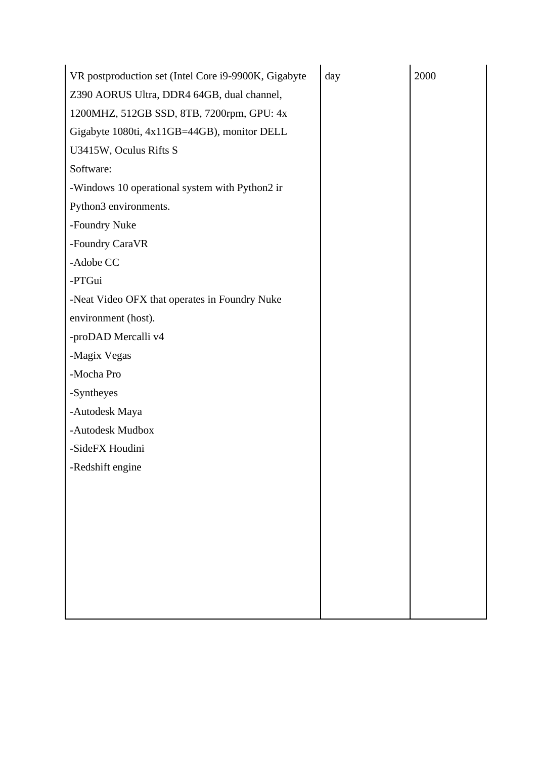| VR postproduction set (Intel Core i9-9900K, Gigabyte | day | 2000 |
|------------------------------------------------------|-----|------|
| Z390 AORUS Ultra, DDR4 64GB, dual channel,           |     |      |
| 1200MHZ, 512GB SSD, 8TB, 7200rpm, GPU: 4x            |     |      |
| Gigabyte 1080ti, 4x11GB=44GB), monitor DELL          |     |      |
| U3415W, Oculus Rifts S                               |     |      |
| Software:                                            |     |      |
| -Windows 10 operational system with Python2 ir       |     |      |
| Python3 environments.                                |     |      |
| -Foundry Nuke                                        |     |      |
| -Foundry CaraVR                                      |     |      |
| -Adobe CC                                            |     |      |
| -PTGui                                               |     |      |
| -Neat Video OFX that operates in Foundry Nuke        |     |      |
| environment (host).                                  |     |      |
| -proDAD Mercalli v4                                  |     |      |
| -Magix Vegas                                         |     |      |
| -Mocha Pro                                           |     |      |
| -Syntheyes                                           |     |      |
| -Autodesk Maya                                       |     |      |
| -Autodesk Mudbox                                     |     |      |
| -SideFX Houdini                                      |     |      |
| -Redshift engine                                     |     |      |
|                                                      |     |      |
|                                                      |     |      |
|                                                      |     |      |
|                                                      |     |      |
|                                                      |     |      |
|                                                      |     |      |
|                                                      |     |      |
|                                                      |     |      |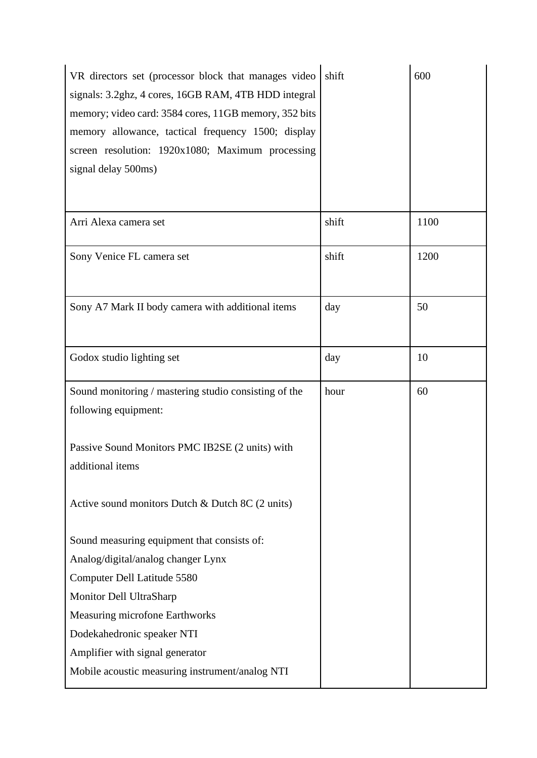| VR directors set (processor block that manages video<br>signals: 3.2ghz, 4 cores, 16GB RAM, 4TB HDD integral<br>memory; video card: 3584 cores, 11GB memory, 352 bits<br>memory allowance, tactical frequency 1500; display<br>screen resolution: 1920x1080; Maximum processing<br>signal delay 500ms) | shift | 600  |
|--------------------------------------------------------------------------------------------------------------------------------------------------------------------------------------------------------------------------------------------------------------------------------------------------------|-------|------|
| Arri Alexa camera set                                                                                                                                                                                                                                                                                  | shift | 1100 |
| Sony Venice FL camera set                                                                                                                                                                                                                                                                              | shift | 1200 |
| Sony A7 Mark II body camera with additional items                                                                                                                                                                                                                                                      | day   | 50   |
| Godox studio lighting set                                                                                                                                                                                                                                                                              | day   | 10   |
| Sound monitoring / mastering studio consisting of the<br>following equipment:                                                                                                                                                                                                                          | hour  | 60   |
| Passive Sound Monitors PMC IB2SE (2 units) with<br>additional items                                                                                                                                                                                                                                    |       |      |
| Active sound monitors Dutch & Dutch 8C $(2 \text{ units})$                                                                                                                                                                                                                                             |       |      |
| Sound measuring equipment that consists of:                                                                                                                                                                                                                                                            |       |      |
| Analog/digital/analog changer Lynx                                                                                                                                                                                                                                                                     |       |      |
| Computer Dell Latitude 5580                                                                                                                                                                                                                                                                            |       |      |
| Monitor Dell UltraSharp                                                                                                                                                                                                                                                                                |       |      |
| <b>Measuring microfone Earthworks</b>                                                                                                                                                                                                                                                                  |       |      |
| Dodekahedronic speaker NTI                                                                                                                                                                                                                                                                             |       |      |
| Amplifier with signal generator                                                                                                                                                                                                                                                                        |       |      |
| Mobile acoustic measuring instrument/analog NTI                                                                                                                                                                                                                                                        |       |      |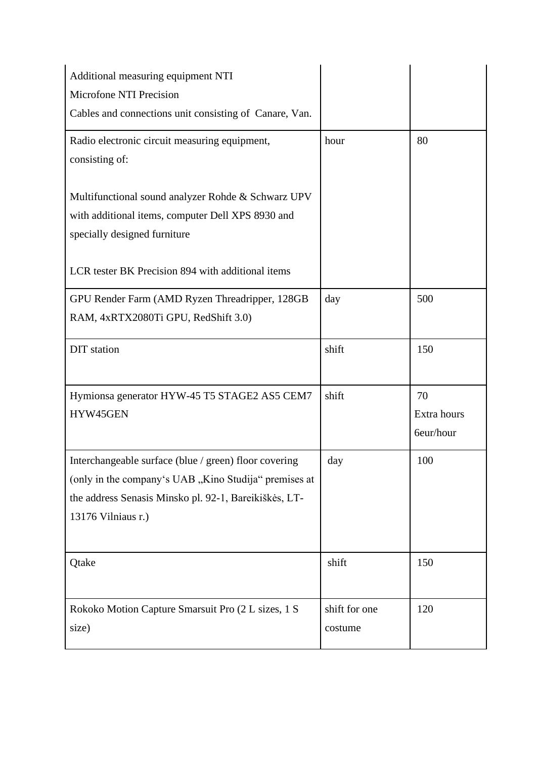| Additional measuring equipment NTI                     |               |             |
|--------------------------------------------------------|---------------|-------------|
| Microfone NTI Precision                                |               |             |
| Cables and connections unit consisting of Canare, Van. |               |             |
| Radio electronic circuit measuring equipment,          | hour          | 80          |
| consisting of:                                         |               |             |
| Multifunctional sound analyzer Rohde & Schwarz UPV     |               |             |
| with additional items, computer Dell XPS 8930 and      |               |             |
| specially designed furniture                           |               |             |
| LCR tester BK Precision 894 with additional items      |               |             |
| GPU Render Farm (AMD Ryzen Threadripper, 128GB         | day           | 500         |
| RAM, 4xRTX2080Ti GPU, RedShift 3.0)                    |               |             |
| <b>DIT</b> station                                     | shift         | 150         |
|                                                        |               |             |
| Hymionsa generator HYW-45 T5 STAGE2 AS5 CEM7           | shift         | 70          |
| HYW45GEN                                               |               | Extra hours |
|                                                        |               | 6eur/hour   |
| Interchangeable surface (blue / green) floor covering  | day           | 100         |
| (only in the company's UAB "Kino Studija" premises at  |               |             |
| the address Senasis Minsko pl. 92-1, Bareikiškės, LT-  |               |             |
| 13176 Vilniaus r.)                                     |               |             |
|                                                        |               |             |
| Qtake                                                  | shift         | 150         |
|                                                        |               |             |
| Rokoko Motion Capture Smarsuit Pro (2 L sizes, 1 S     | shift for one | 120         |
| size)                                                  | costume       |             |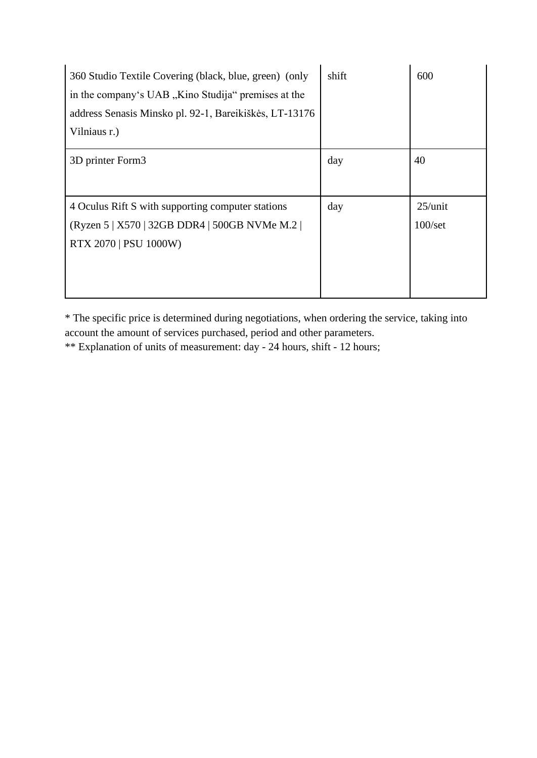| 360 Studio Textile Covering (black, blue, green) (only<br>in the company's UAB, Kino Studija" premises at the<br>address Senasis Minsko pl. 92-1, Bareikiškės, LT-13176<br>Vilniaus r.) | shift | 600                            |
|-----------------------------------------------------------------------------------------------------------------------------------------------------------------------------------------|-------|--------------------------------|
| 3D printer Form3                                                                                                                                                                        | day   | 40                             |
| 4 Oculus Rift S with supporting computer stations<br>(Ryzen 5   X570   32GB DDR4   500GB NVMe M.2  <br><b>RTX 2070   PSU 1000W)</b>                                                     | day   | $25/$ unit<br>$100/\text{set}$ |

\* The specific price is determined during negotiations, when ordering the service, taking into account the amount of services purchased, period and other parameters.

\*\* Explanation of units of measurement: day - 24 hours, shift - 12 hours;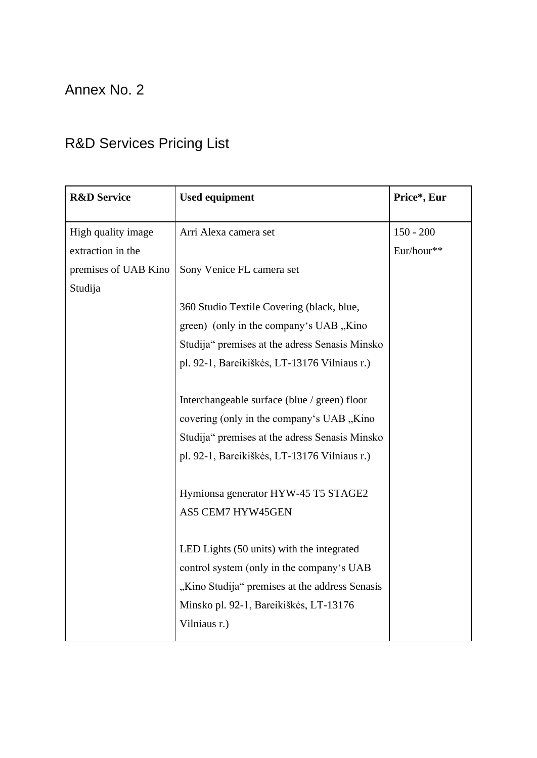## Annex No. 2

# R&D Services Pricing List

| <b>R&amp;D Service</b> | <b>Used equipment</b>                          | Price*, Eur |
|------------------------|------------------------------------------------|-------------|
| High quality image     | Arri Alexa camera set                          | $150 - 200$ |
| extraction in the      |                                                | Eur/hour**  |
| premises of UAB Kino   | Sony Venice FL camera set                      |             |
| Studija                |                                                |             |
|                        | 360 Studio Textile Covering (black, blue,      |             |
|                        | green) (only in the company's UAB, Kino        |             |
|                        | Studija" premises at the adress Senasis Minsko |             |
|                        | pl. 92-1, Bareikiškės, LT-13176 Vilniaus r.)   |             |
|                        |                                                |             |
|                        | Interchangeable surface (blue / green) floor   |             |
|                        | covering (only in the company's UAB, Kino      |             |
|                        | Studija" premises at the adress Senasis Minsko |             |
|                        | pl. 92-1, Bareikiškės, LT-13176 Vilniaus r.)   |             |
|                        |                                                |             |
|                        | Hymionsa generator HYW-45 T5 STAGE2            |             |
|                        | AS5 CEM7 HYW45GEN                              |             |
|                        |                                                |             |
|                        | LED Lights (50 units) with the integrated      |             |
|                        | control system (only in the company's UAB      |             |
|                        | "Kino Studija" premises at the address Senasis |             |
|                        | Minsko pl. 92-1, Bareikiškės, LT-13176         |             |
|                        | Vilniaus r.)                                   |             |
|                        |                                                |             |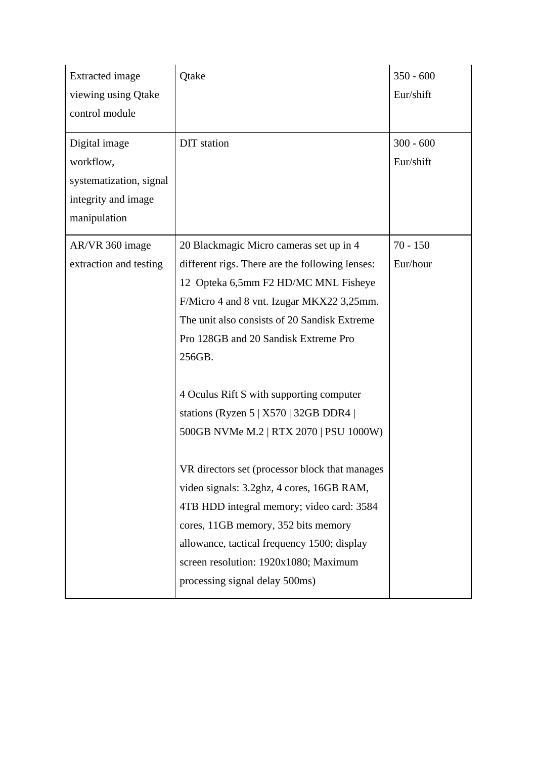| <b>Extracted</b> image<br>viewing using Qtake | Qtake                                           | $350 - 600$<br>Eur/shift |
|-----------------------------------------------|-------------------------------------------------|--------------------------|
| control module                                |                                                 |                          |
| Digital image                                 | <b>DIT</b> station                              | $300 - 600$              |
| workflow,                                     |                                                 | Eur/shift                |
| systematization, signal                       |                                                 |                          |
| integrity and image                           |                                                 |                          |
| manipulation                                  |                                                 |                          |
| AR/VR 360 image                               | 20 Blackmagic Micro cameras set up in 4         | $70 - 150$               |
| extraction and testing                        | different rigs. There are the following lenses: | Eur/hour                 |
|                                               | 12 Opteka 6,5mm F2 HD/MC MNL Fisheye            |                          |
|                                               | F/Micro 4 and 8 vnt. Izugar MKX22 3,25mm.       |                          |
|                                               | The unit also consists of 20 Sandisk Extreme    |                          |
|                                               | Pro 128GB and 20 Sandisk Extreme Pro            |                          |
|                                               | 256GB.                                          |                          |
|                                               |                                                 |                          |
|                                               | 4 Oculus Rift S with supporting computer        |                          |
|                                               | stations (Ryzen $5   X570   32GB DDR4  $        |                          |
|                                               | 500GB NVMe M.2   RTX 2070   PSU 1000W)          |                          |
|                                               | VR directors set (processor block that manages  |                          |
|                                               | video signals: 3.2ghz, 4 cores, 16GB RAM,       |                          |
|                                               | 4TB HDD integral memory; video card: 3584       |                          |
|                                               | cores, 11GB memory, 352 bits memory             |                          |
|                                               | allowance, tactical frequency 1500; display     |                          |
|                                               | screen resolution: 1920x1080; Maximum           |                          |
|                                               | processing signal delay 500ms)                  |                          |
|                                               |                                                 |                          |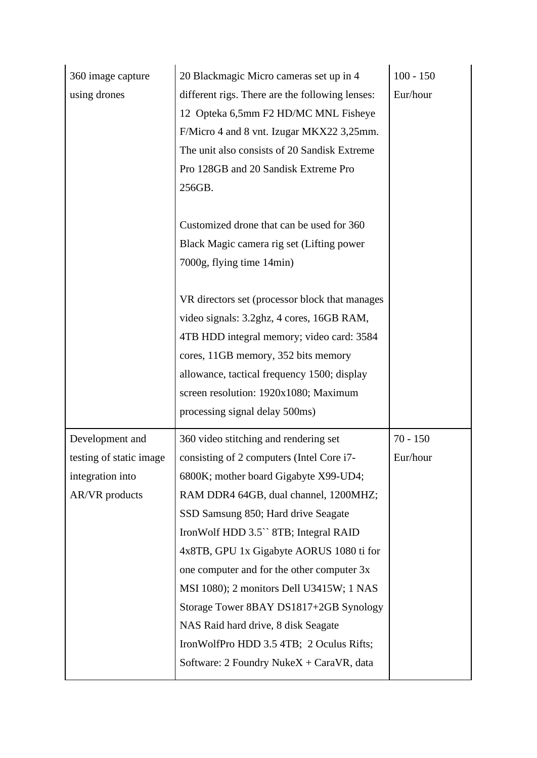| 360 image capture       | 20 Blackmagic Micro cameras set up in 4           | $100 - 150$ |
|-------------------------|---------------------------------------------------|-------------|
| using drones            | different rigs. There are the following lenses:   | Eur/hour    |
|                         | 12 Opteka 6,5mm F2 HD/MC MNL Fisheye              |             |
|                         | F/Micro 4 and 8 vnt. Izugar MKX22 3,25mm.         |             |
|                         | The unit also consists of 20 Sandisk Extreme      |             |
|                         | Pro 128GB and 20 Sandisk Extreme Pro              |             |
|                         | 256GB.                                            |             |
|                         |                                                   |             |
|                         | Customized drone that can be used for 360         |             |
|                         | Black Magic camera rig set (Lifting power         |             |
|                         | 7000g, flying time 14min)                         |             |
|                         |                                                   |             |
|                         | VR directors set (processor block that manages    |             |
|                         | video signals: 3.2ghz, 4 cores, 16GB RAM,         |             |
|                         | 4TB HDD integral memory; video card: 3584         |             |
|                         | cores, 11GB memory, 352 bits memory               |             |
|                         | allowance, tactical frequency 1500; display       |             |
|                         | screen resolution: 1920x1080; Maximum             |             |
|                         | processing signal delay 500ms)                    |             |
| Development and         | 360 video stitching and rendering set             | $70 - 150$  |
| testing of static image | consisting of 2 computers (Intel Core i7-         | Eur/hour    |
| integration into        | 6800K; mother board Gigabyte X99-UD4;             |             |
| AR/VR products          | RAM DDR4 64GB, dual channel, 1200MHZ;             |             |
|                         | SSD Samsung 850; Hard drive Seagate               |             |
|                         | Iron Wolf HDD 3.5 <sup>*</sup> 8TB; Integral RAID |             |
|                         | 4x8TB, GPU 1x Gigabyte AORUS 1080 ti for          |             |
|                         | one computer and for the other computer 3x        |             |
|                         | MSI 1080); 2 monitors Dell U3415W; 1 NAS          |             |
|                         | Storage Tower 8BAY DS1817+2GB Synology            |             |
|                         | NAS Raid hard drive, 8 disk Seagate               |             |
|                         | IronWolfPro HDD 3.5 4TB; 2 Oculus Rifts;          |             |
|                         | Software: 2 Foundry NukeX + CaraVR, data          |             |
|                         |                                                   |             |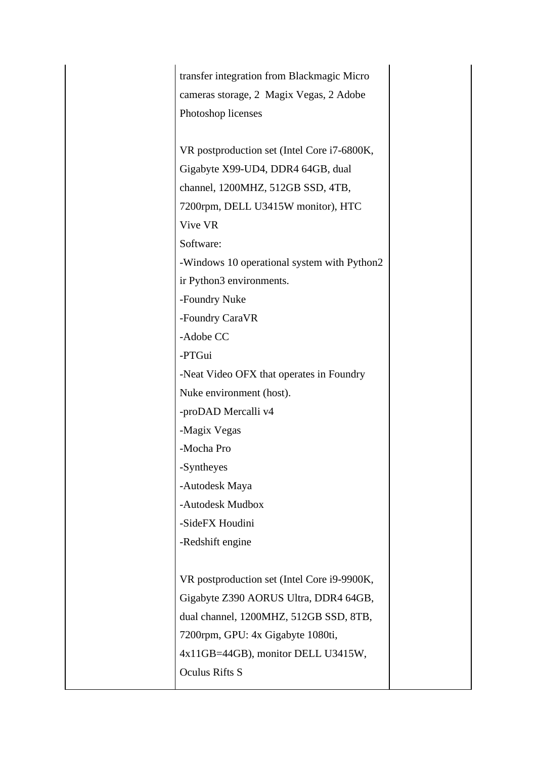| transfer integration from Blackmagic Micro  |  |
|---------------------------------------------|--|
| cameras storage, 2 Magix Vegas, 2 Adobe     |  |
| Photoshop licenses                          |  |
|                                             |  |
| VR postproduction set (Intel Core i7-6800K, |  |
| Gigabyte X99-UD4, DDR4 64GB, dual           |  |
| channel, 1200MHZ, 512GB SSD, 4TB,           |  |
| 7200rpm, DELL U3415W monitor), HTC          |  |
| Vive VR                                     |  |
| Software:                                   |  |
| -Windows 10 operational system with Python2 |  |
| ir Python3 environments.                    |  |
| -Foundry Nuke                               |  |
| -Foundry CaraVR                             |  |
| -Adobe CC                                   |  |
| -PTGui                                      |  |
| -Neat Video OFX that operates in Foundry    |  |
| Nuke environment (host).                    |  |
| -proDAD Mercalli v4                         |  |
| -Magix Vegas                                |  |
| -Mocha Pro                                  |  |
| -Syntheyes                                  |  |
| -Autodesk Maya                              |  |
| -Autodesk Mudbox                            |  |
| -SideFX Houdini                             |  |
| -Redshift engine                            |  |
|                                             |  |
| VR postproduction set (Intel Core i9-9900K, |  |
| Gigabyte Z390 AORUS Ultra, DDR4 64GB,       |  |
| dual channel, 1200MHZ, 512GB SSD, 8TB,      |  |
| 7200rpm, GPU: 4x Gigabyte 1080ti,           |  |
| 4x11GB=44GB), monitor DELL U3415W,          |  |
| <b>Oculus Rifts S</b>                       |  |
|                                             |  |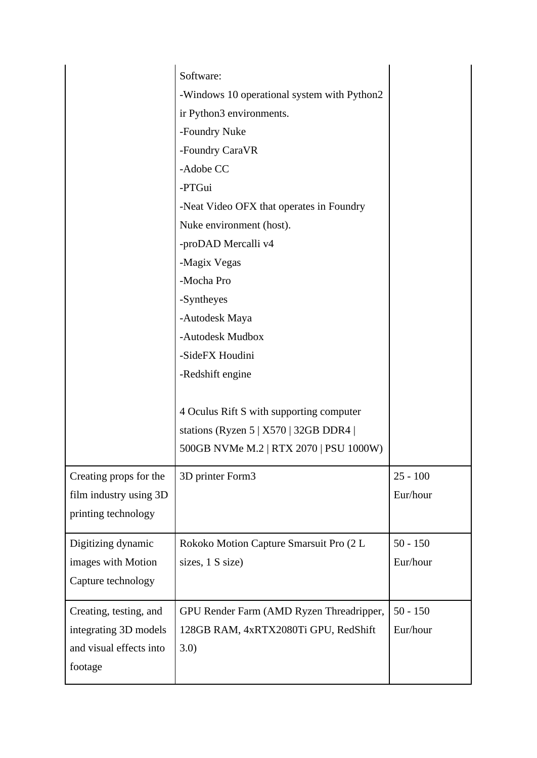|                                                                                       | Software:<br>-Windows 10 operational system with Python2<br>ir Python3 environments.<br>-Foundry Nuke<br>-Foundry CaraVR<br>-Adobe CC<br>-PTGui<br>-Neat Video OFX that operates in Foundry<br>Nuke environment (host).<br>-proDAD Mercalli v4<br>-Magix Vegas<br>-Mocha Pro<br>-Syntheyes<br>-Autodesk Maya<br>-Autodesk Mudbox<br>-SideFX Houdini<br>-Redshift engine<br>4 Oculus Rift S with supporting computer<br>stations (Ryzen $5   X570   32GB DDR4  $<br>500GB NVMe M.2   RTX 2070   PSU 1000W) |                        |
|---------------------------------------------------------------------------------------|-----------------------------------------------------------------------------------------------------------------------------------------------------------------------------------------------------------------------------------------------------------------------------------------------------------------------------------------------------------------------------------------------------------------------------------------------------------------------------------------------------------|------------------------|
| Creating props for the<br>film industry using 3D<br>printing technology               | 3D printer Form3                                                                                                                                                                                                                                                                                                                                                                                                                                                                                          | $25 - 100$<br>Eur/hour |
| Digitizing dynamic<br>images with Motion<br>Capture technology                        | Rokoko Motion Capture Smarsuit Pro (2 L<br>sizes, 1 S size)                                                                                                                                                                                                                                                                                                                                                                                                                                               | $50 - 150$<br>Eur/hour |
| Creating, testing, and<br>integrating 3D models<br>and visual effects into<br>footage | GPU Render Farm (AMD Ryzen Threadripper,<br>128GB RAM, 4xRTX2080Ti GPU, RedShift<br>3.0)                                                                                                                                                                                                                                                                                                                                                                                                                  | $50 - 150$<br>Eur/hour |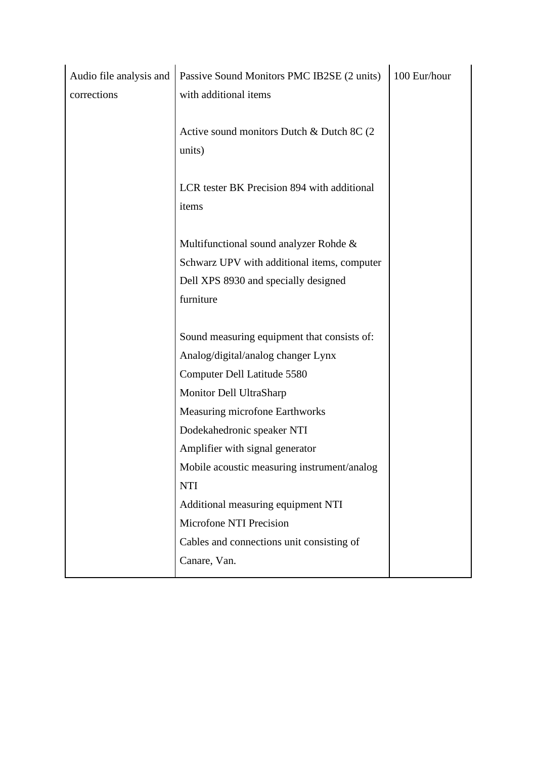| Audio file analysis and | Passive Sound Monitors PMC IB2SE (2 units)  | 100 Eur/hour |
|-------------------------|---------------------------------------------|--------------|
| corrections             | with additional items                       |              |
|                         |                                             |              |
|                         | Active sound monitors Dutch & Dutch 8C (2)  |              |
|                         | units)                                      |              |
|                         |                                             |              |
|                         | LCR tester BK Precision 894 with additional |              |
|                         | items                                       |              |
|                         |                                             |              |
|                         | Multifunctional sound analyzer Rohde &      |              |
|                         | Schwarz UPV with additional items, computer |              |
|                         | Dell XPS 8930 and specially designed        |              |
|                         | furniture                                   |              |
|                         |                                             |              |
|                         | Sound measuring equipment that consists of: |              |
|                         | Analog/digital/analog changer Lynx          |              |
|                         | Computer Dell Latitude 5580                 |              |
|                         | Monitor Dell UltraSharp                     |              |
|                         | Measuring microfone Earthworks              |              |
|                         | Dodekahedronic speaker NTI                  |              |
|                         | Amplifier with signal generator             |              |
|                         | Mobile acoustic measuring instrument/analog |              |
|                         | <b>NTI</b>                                  |              |
|                         | Additional measuring equipment NTI          |              |
|                         | Microfone NTI Precision                     |              |
|                         | Cables and connections unit consisting of   |              |
|                         | Canare, Van.                                |              |
|                         |                                             |              |